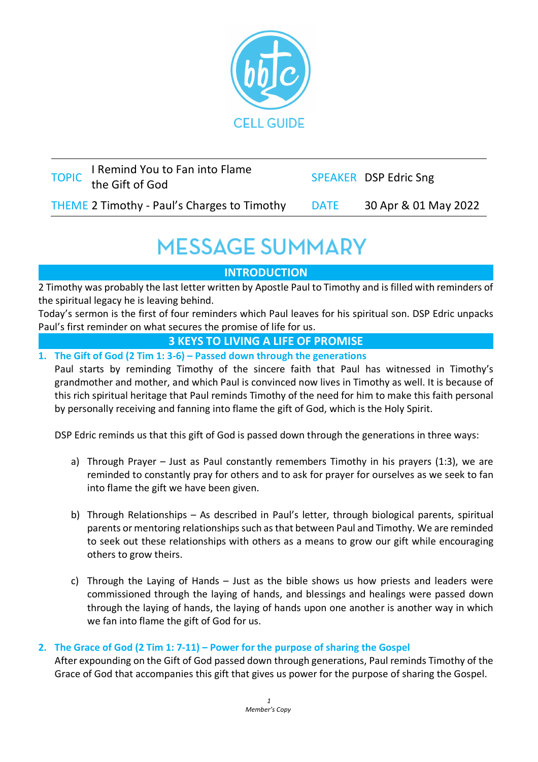

| TOPIC I Remind You to Fan into Flame<br>the Gift of God |      | <b>SPEAKER DSP Edric Sng</b> |
|---------------------------------------------------------|------|------------------------------|
| THEME 2 Timothy - Paul's Charges to Timothy             | DATE | 30 Apr & 01 May 2022         |

# **MESSAGE SUMMARY**

## **INTRODUCTION**

2 Timothy was probably the last letter written by Apostle Paul to Timothy and is filled with reminders of the spiritual legacy he is leaving behind.

Today's sermon is the first of four reminders which Paul leaves for his spiritual son. DSP Edric unpacks Paul's first reminder on what secures the promise of life for us.

#### **3 KEYS TO LIVING A LIFE OF PROMISE**

**1. The Gift of God (2 Tim 1: 3-6) – Passed down through the generations**

Paul starts by reminding Timothy of the sincere faith that Paul has witnessed in Timothy's grandmother and mother, and which Paul is convinced now lives in Timothy as well. It is because of this rich spiritual heritage that Paul reminds Timothy of the need for him to make this faith personal by personally receiving and fanning into flame the gift of God, which is the Holy Spirit.

DSP Edric reminds us that this gift of God is passed down through the generations in three ways:

- a) Through Prayer Just as Paul constantly remembers Timothy in his prayers (1:3), we are reminded to constantly pray for others and to ask for prayer for ourselves as we seek to fan into flame the gift we have been given.
- b) Through Relationships As described in Paul's letter, through biological parents, spiritual parents or mentoring relationships such as that between Paul and Timothy. We are reminded to seek out these relationships with others as a means to grow our gift while encouraging others to grow theirs.
- c) Through the Laying of Hands Just as the bible shows us how priests and leaders were commissioned through the laying of hands, and blessings and healings were passed down through the laying of hands, the laying of hands upon one another is another way in which we fan into flame the gift of God for us.

### **2. The Grace of God (2 Tim 1: 7-11) – Power for the purpose of sharing the Gospel**

After expounding on the Gift of God passed down through generations, Paul reminds Timothy of the Grace of God that accompanies this gift that gives us power for the purpose of sharing the Gospel.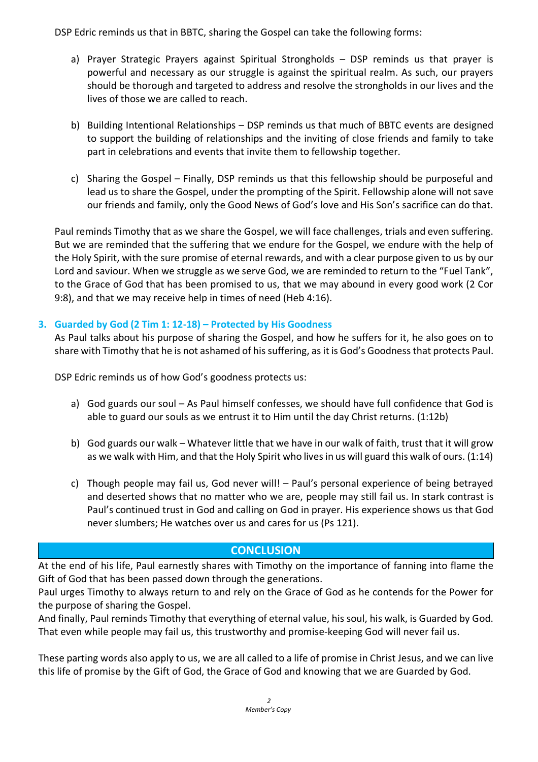DSP Edric reminds us that in BBTC, sharing the Gospel can take the following forms:

- a) Prayer Strategic Prayers against Spiritual Strongholds DSP reminds us that prayer is powerful and necessary as our struggle is against the spiritual realm. As such, our prayers should be thorough and targeted to address and resolve the strongholds in our lives and the lives of those we are called to reach.
- b) Building Intentional Relationships DSP reminds us that much of BBTC events are designed to support the building of relationships and the inviting of close friends and family to take part in celebrations and events that invite them to fellowship together.
- c) Sharing the Gospel Finally, DSP reminds us that this fellowship should be purposeful and lead us to share the Gospel, under the prompting of the Spirit. Fellowship alone will not save our friends and family, only the Good News of God's love and His Son's sacrifice can do that.

Paul reminds Timothy that as we share the Gospel, we will face challenges, trials and even suffering. But we are reminded that the suffering that we endure for the Gospel, we endure with the help of the Holy Spirit, with the sure promise of eternal rewards, and with a clear purpose given to us by our Lord and saviour. When we struggle as we serve God, we are reminded to return to the "Fuel Tank", to the Grace of God that has been promised to us, that we may abound in every good work (2 Cor 9:8), and that we may receive help in times of need (Heb 4:16).

#### **3. Guarded by God (2 Tim 1: 12-18) – Protected by His Goodness**

As Paul talks about his purpose of sharing the Gospel, and how he suffers for it, he also goes on to share with Timothy that he is not ashamed of his suffering, as it is God's Goodness that protects Paul.

DSP Edric reminds us of how God's goodness protects us:

- a) God guards our soul As Paul himself confesses, we should have full confidence that God is able to guard our souls as we entrust it to Him until the day Christ returns. (1:12b)
- b) God guards our walk Whatever little that we have in our walk of faith, trust that it will grow as we walk with Him, and that the Holy Spirit who lives in us will guard this walk of ours. (1:14)
- c) Though people may fail us, God never will! Paul's personal experience of being betrayed and deserted shows that no matter who we are, people may still fail us. In stark contrast is Paul's continued trust in God and calling on God in prayer. His experience shows us that God never slumbers; He watches over us and cares for us (Ps 121).

### **CONCLUSION**

At the end of his life, Paul earnestly shares with Timothy on the importance of fanning into flame the Gift of God that has been passed down through the generations.

Paul urges Timothy to always return to and rely on the Grace of God as he contends for the Power for the purpose of sharing the Gospel.

And finally, Paul reminds Timothy that everything of eternal value, his soul, his walk, is Guarded by God. That even while people may fail us, this trustworthy and promise-keeping God will never fail us.

These parting words also apply to us, we are all called to a life of promise in Christ Jesus, and we can live this life of promise by the Gift of God, the Grace of God and knowing that we are Guarded by God.